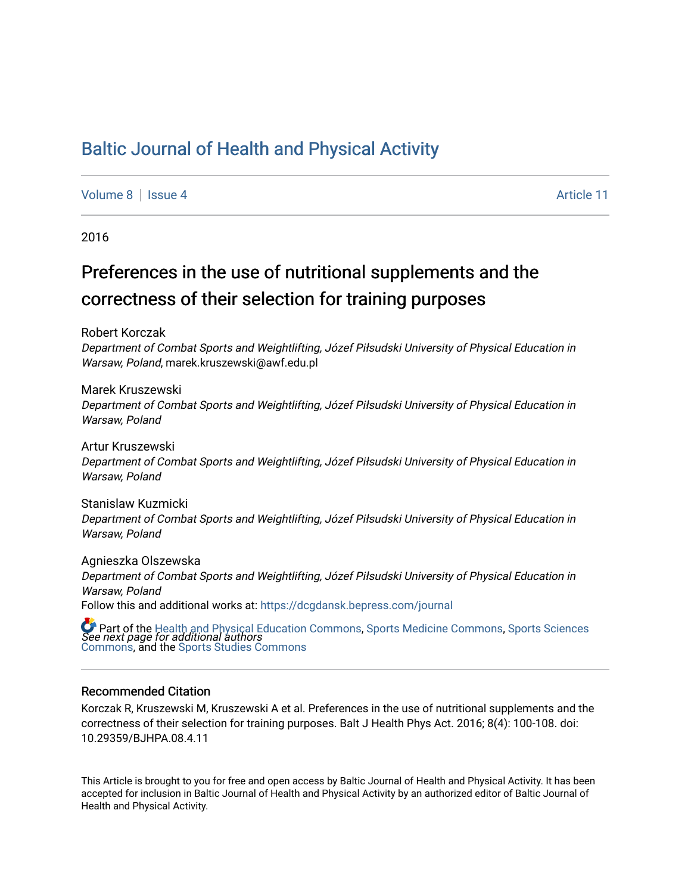# [Baltic Journal of Health and Physical Activity](https://dcgdansk.bepress.com/journal)

[Volume 8](https://dcgdansk.bepress.com/journal/vol8) | [Issue 4](https://dcgdansk.bepress.com/journal/vol8/iss4) Article 11

2016

# Preferences in the use of nutritional supplements and the correctness of their selection for training purposes

Robert Korczak

Department of Combat Sports and Weightlifting, Józef Piłsudski University of Physical Education in Warsaw, Poland, marek.kruszewski@awf.edu.pl

Marek Kruszewski Department of Combat Sports and Weightlifting, Józef Piłsudski University of Physical Education in Warsaw, Poland

Artur Kruszewski Department of Combat Sports and Weightlifting, Józef Piłsudski University of Physical Education in Warsaw, Poland

Stanislaw Kuzmicki Department of Combat Sports and Weightlifting, Józef Piłsudski University of Physical Education in Warsaw, Poland

Agnieszka Olszewska Department of Combat Sports and Weightlifting, Józef Piłsudski University of Physical Education in Warsaw, Poland Follow this and additional works at: [https://dcgdansk.bepress.com/journal](https://dcgdansk.bepress.com/journal?utm_source=dcgdansk.bepress.com%2Fjournal%2Fvol8%2Fiss4%2F11&utm_medium=PDF&utm_campaign=PDFCoverPages)

 $\bullet$  Part of the [Health and Physical Education Commons](http://network.bepress.com/hgg/discipline/1327?utm_source=dcgdansk.bepress.com%2Fjournal%2Fvol8%2Fiss4%2F11&utm_medium=PDF&utm_campaign=PDFCoverPages), [Sports Medicine Commons,](http://network.bepress.com/hgg/discipline/1331?utm_source=dcgdansk.bepress.com%2Fjournal%2Fvol8%2Fiss4%2F11&utm_medium=PDF&utm_campaign=PDFCoverPages) [Sports Sciences](http://network.bepress.com/hgg/discipline/759?utm_source=dcgdansk.bepress.com%2Fjournal%2Fvol8%2Fiss4%2F11&utm_medium=PDF&utm_campaign=PDFCoverPages)<br>*See next page for additional authors* [Commons](http://network.bepress.com/hgg/discipline/759?utm_source=dcgdansk.bepress.com%2Fjournal%2Fvol8%2Fiss4%2F11&utm_medium=PDF&utm_campaign=PDFCoverPages), and the [Sports Studies Commons](http://network.bepress.com/hgg/discipline/1198?utm_source=dcgdansk.bepress.com%2Fjournal%2Fvol8%2Fiss4%2F11&utm_medium=PDF&utm_campaign=PDFCoverPages) 

#### Recommended Citation

Korczak R, Kruszewski M, Kruszewski A et al. Preferences in the use of nutritional supplements and the correctness of their selection for training purposes. Balt J Health Phys Act. 2016; 8(4): 100-108. doi: 10.29359/BJHPA.08.4.11

This Article is brought to you for free and open access by Baltic Journal of Health and Physical Activity. It has been accepted for inclusion in Baltic Journal of Health and Physical Activity by an authorized editor of Baltic Journal of Health and Physical Activity.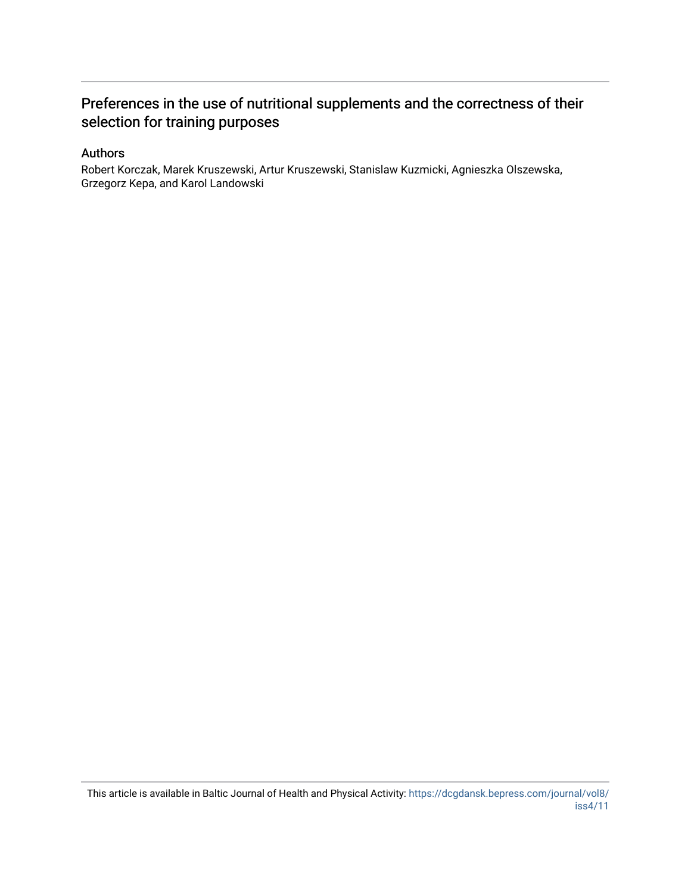# Preferences in the use of nutritional supplements and the correctness of their selection for training purposes

### Authors

Robert Korczak, Marek Kruszewski, Artur Kruszewski, Stanislaw Kuzmicki, Agnieszka Olszewska, Grzegorz Kepa, and Karol Landowski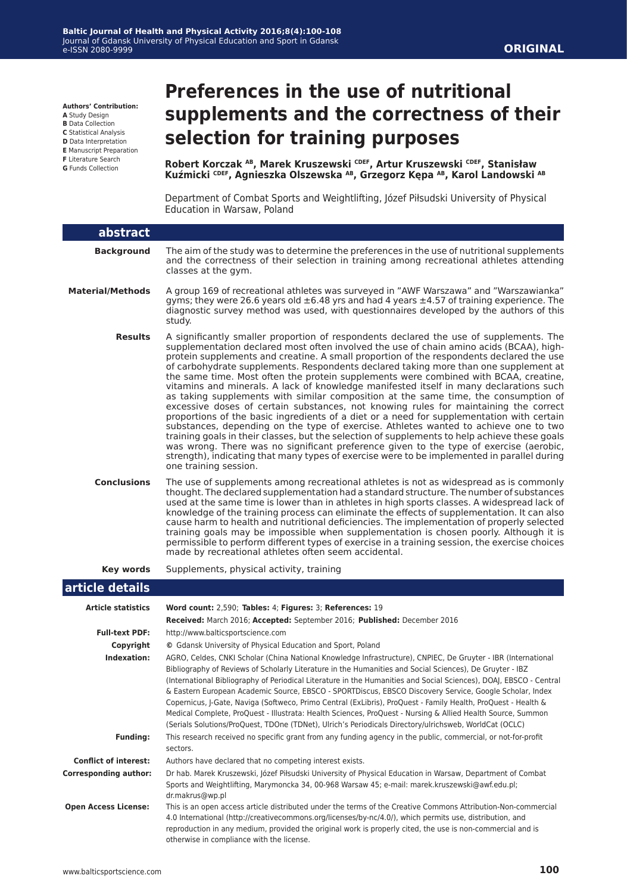**Authors' Contribution:**

- **A** Study Design
- **B** Data Collection
- **C** Statistical Analysis
- **D** Data Interpretation **E** Manuscript Preparation
- **F** Literature Search
- **G** Funds Collection

# **Preferences in the use of nutritional supplements and the correctness of their selection for training purposes**

**Robert Korczak AB, Marek Kruszewski CDEF, Artur Kruszewski CDEF, Stanisław Kuźmicki CDEF, Agnieszka Olszewska AB, Grzegorz Kępa AB, Karol Landowski AB**

Department of Combat Sports and Weightlifting, Józef Piłsudski University of Physical Education in Warsaw, Poland

| abstract                     |                                                                                                                                                                                                                                                                                                                                                                                                                                                                                                                                                                                                                                                                                                                                                                                                                                                                                                                                                                                                                                                                                                                                                                                                                                                |
|------------------------------|------------------------------------------------------------------------------------------------------------------------------------------------------------------------------------------------------------------------------------------------------------------------------------------------------------------------------------------------------------------------------------------------------------------------------------------------------------------------------------------------------------------------------------------------------------------------------------------------------------------------------------------------------------------------------------------------------------------------------------------------------------------------------------------------------------------------------------------------------------------------------------------------------------------------------------------------------------------------------------------------------------------------------------------------------------------------------------------------------------------------------------------------------------------------------------------------------------------------------------------------|
| <b>Background</b>            | The aim of the study was to determine the preferences in the use of nutritional supplements<br>and the correctness of their selection in training among recreational athletes attending<br>classes at the gym.                                                                                                                                                                                                                                                                                                                                                                                                                                                                                                                                                                                                                                                                                                                                                                                                                                                                                                                                                                                                                                 |
| <b>Material/Methods</b>      | A group 169 of recreational athletes was surveyed in "AWF Warszawa" and "Warszawianka"<br>gyms; they were 26.6 years old $\pm 6.48$ yrs and had 4 years $\pm 4.57$ of training experience. The<br>diagnostic survey method was used, with questionnaires developed by the authors of this<br>study.                                                                                                                                                                                                                                                                                                                                                                                                                                                                                                                                                                                                                                                                                                                                                                                                                                                                                                                                            |
| <b>Results</b>               | A significantly smaller proportion of respondents declared the use of supplements. The<br>supplementation declared most often involved the use of chain amino acids (BCAA), high-<br>protein supplements and creatine. A small proportion of the respondents declared the use<br>of carbohydrate supplements. Respondents declared taking more than one supplement at<br>the same time. Most often the protein supplements were combined with BCAA, creatine,<br>vitamins and minerals. A lack of knowledge manifested itself in many declarations such<br>as taking supplements with similar composition at the same time, the consumption of<br>excessive doses of certain substances, not knowing rules for maintaining the correct<br>proportions of the basic ingredients of a diet or a need for supplementation with certain<br>substances, depending on the type of exercise. Athletes wanted to achieve one to two<br>training goals in their classes, but the selection of supplements to help achieve these goals<br>was wrong. There was no significant preference given to the type of exercise (aerobic,<br>strength), indicating that many types of exercise were to be implemented in parallel during<br>one training session. |
| <b>Conclusions</b>           | The use of supplements among recreational athletes is not as widespread as is commonly<br>thought. The declared supplementation had a standard structure. The number of substances<br>used at the same time is lower than in athletes in high sports classes. A widespread lack of<br>knowledge of the training process can eliminate the effects of supplementation. It can also<br>cause harm to health and nutritional deficiencies. The implementation of properly selected<br>training goals may be impossible when supplementation is chosen poorly. Although it is<br>permissible to perform different types of exercise in a training session, the exercise choices<br>made by recreational athletes often seem accidental.                                                                                                                                                                                                                                                                                                                                                                                                                                                                                                            |
| <b>Key words</b>             | Supplements, physical activity, training                                                                                                                                                                                                                                                                                                                                                                                                                                                                                                                                                                                                                                                                                                                                                                                                                                                                                                                                                                                                                                                                                                                                                                                                       |
| article details              |                                                                                                                                                                                                                                                                                                                                                                                                                                                                                                                                                                                                                                                                                                                                                                                                                                                                                                                                                                                                                                                                                                                                                                                                                                                |
| <b>Article statistics</b>    | Word count: 2,590; Tables: 4; Figures: 3; References: 19                                                                                                                                                                                                                                                                                                                                                                                                                                                                                                                                                                                                                                                                                                                                                                                                                                                                                                                                                                                                                                                                                                                                                                                       |
|                              | Received: March 2016; Accepted: September 2016; Published: December 2016                                                                                                                                                                                                                                                                                                                                                                                                                                                                                                                                                                                                                                                                                                                                                                                                                                                                                                                                                                                                                                                                                                                                                                       |
| <b>Full-text PDF:</b>        | http://www.balticsportscience.com                                                                                                                                                                                                                                                                                                                                                                                                                                                                                                                                                                                                                                                                                                                                                                                                                                                                                                                                                                                                                                                                                                                                                                                                              |
| Copyright                    | © Gdansk University of Physical Education and Sport, Poland                                                                                                                                                                                                                                                                                                                                                                                                                                                                                                                                                                                                                                                                                                                                                                                                                                                                                                                                                                                                                                                                                                                                                                                    |
| Indexation:                  | AGRO, Celdes, CNKI Scholar (China National Knowledge Infrastructure), CNPIEC, De Gruyter - IBR (International<br>Bibliography of Reviews of Scholarly Literature in the Humanities and Social Sciences), De Gruyter - IBZ<br>(International Bibliography of Periodical Literature in the Humanities and Social Sciences), DOAJ, EBSCO - Central<br>& Eastern European Academic Source, EBSCO - SPORTDiscus, EBSCO Discovery Service, Google Scholar, Index<br>Copernicus, J-Gate, Naviga (Softweco, Primo Central (ExLibris), ProQuest - Family Health, ProQuest - Health &<br>Medical Complete, ProQuest - Illustrata: Health Sciences, ProQuest - Nursing & Allied Health Source, Summon<br>(Serials Solutions/ProQuest, TDOne (TDNet), Ulrich's Periodicals Directory/ulrichsweb, WorldCat (OCLC)                                                                                                                                                                                                                                                                                                                                                                                                                                           |
| <b>Funding:</b>              | This research received no specific grant from any funding agency in the public, commercial, or not-for-profit                                                                                                                                                                                                                                                                                                                                                                                                                                                                                                                                                                                                                                                                                                                                                                                                                                                                                                                                                                                                                                                                                                                                  |
|                              | sectors.                                                                                                                                                                                                                                                                                                                                                                                                                                                                                                                                                                                                                                                                                                                                                                                                                                                                                                                                                                                                                                                                                                                                                                                                                                       |
| <b>Conflict of interest:</b> | Authors have declared that no competing interest exists.                                                                                                                                                                                                                                                                                                                                                                                                                                                                                                                                                                                                                                                                                                                                                                                                                                                                                                                                                                                                                                                                                                                                                                                       |
| <b>Corresponding author:</b> | Dr hab. Marek Kruszewski, Józef Piłsudski University of Physical Education in Warsaw, Department of Combat<br>Sports and Weightlifting, Marymoncka 34, 00-968 Warsaw 45; e-mail: marek.kruszewski@awf.edu.pl;<br>dr.makrus@wp.pl                                                                                                                                                                                                                                                                                                                                                                                                                                                                                                                                                                                                                                                                                                                                                                                                                                                                                                                                                                                                               |
| <b>Open Access License:</b>  | This is an open access article distributed under the terms of the Creative Commons Attribution-Non-commercial<br>4.0 International (http://creativecommons.org/licenses/by-nc/4.0/), which permits use, distribution, and<br>reproduction in any medium, provided the original work is properly cited, the use is non-commercial and is<br>otherwise in compliance with the license.                                                                                                                                                                                                                                                                                                                                                                                                                                                                                                                                                                                                                                                                                                                                                                                                                                                           |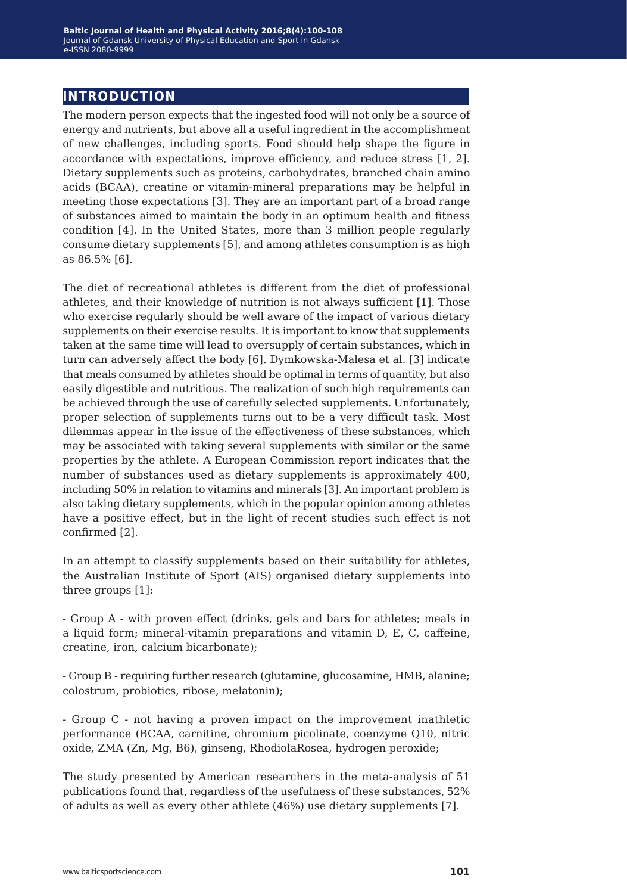# **introduction**

The modern person expects that the ingested food will not only be a source of energy and nutrients, but above all a useful ingredient in the accomplishment of new challenges, including sports. Food should help shape the figure in accordance with expectations, improve efficiency, and reduce stress [1, 2]. Dietary supplements such as proteins, carbohydrates, branched chain amino acids (BCAA), creatine or vitamin-mineral preparations may be helpful in meeting those expectations [3]. They are an important part of a broad range of substances aimed to maintain the body in an optimum health and fitness condition [4]. In the United States, more than 3 million people regularly consume dietary supplements [5], and among athletes consumption is as high as 86.5% [6].

The diet of recreational athletes is different from the diet of professional athletes, and their knowledge of nutrition is not always sufficient [1]. Those who exercise regularly should be well aware of the impact of various dietary supplements on their exercise results. It is important to know that supplements taken at the same time will lead to oversupply of certain substances, which in turn can adversely affect the body [6]. Dymkowska-Malesa et al. [3] indicate that meals consumed by athletes should be optimal in terms of quantity, but also easily digestible and nutritious. The realization of such high requirements can be achieved through the use of carefully selected supplements. Unfortunately, proper selection of supplements turns out to be a very difficult task. Most dilemmas appear in the issue of the effectiveness of these substances, which may be associated with taking several supplements with similar or the same properties by the athlete. A European Commission report indicates that the number of substances used as dietary supplements is approximately 400, including 50% in relation to vitamins and minerals [3]. An important problem is also taking dietary supplements, which in the popular opinion among athletes have a positive effect, but in the light of recent studies such effect is not confirmed [2].

In an attempt to classify supplements based on their suitability for athletes, the Australian Institute of Sport (AIS) organised dietary supplements into three groups [1]:

- Group A - with proven effect (drinks, gels and bars for athletes; meals in a liquid form; mineral-vitamin preparations and vitamin D, E, C, caffeine, creatine, iron, calcium bicarbonate);

- Group B - requiring further research (glutamine, glucosamine, HMB, alanine; colostrum, probiotics, ribose, melatonin);

- Group C - not having a proven impact on the improvement inathletic performance (BCAA, carnitine, chromium picolinate, coenzyme Q10, nitric oxide, ZMA (Zn, Mg, B6), ginseng, RhodiolaRosea, hydrogen peroxide;

The study presented by American researchers in the meta-analysis of 51 publications found that, regardless of the usefulness of these substances, 52% of adults as well as every other athlete (46%) use dietary supplements [7].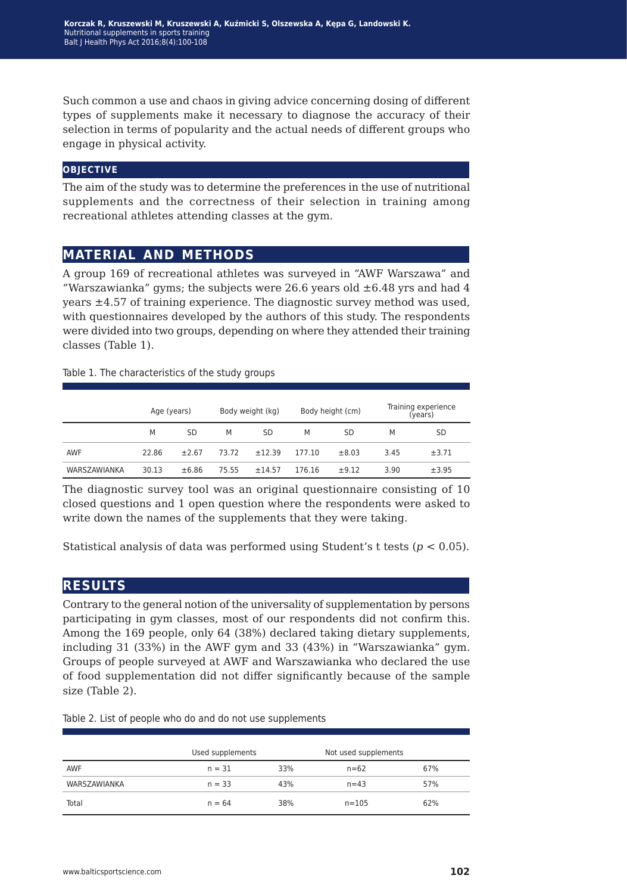**Korczak R, Kruszewski M, Kruszewski A, Kuźmicki S, Olszewska A, Kępa G, Landowski K.** Nutritional supplements in sports training Balt | Health Phys Act 2016;8(4):100-108

Such common a use and chaos in giving advice concerning dosing of different types of supplements make it necessary to diagnose the accuracy of their selection in terms of popularity and the actual needs of different groups who engage in physical activity.

#### **objective**

The aim of the study was to determine the preferences in the use of nutritional supplements and the correctness of their selection in training among recreational athletes attending classes at the gym.

# **material and methods**

A group 169 of recreational athletes was surveyed in "AWF Warszawa" and "Warszawianka" gyms; the subjects were 26.6 years old  $\pm 6.48$  yrs and had 4 years ±4.57 of training experience. The diagnostic survey method was used, with questionnaires developed by the authors of this study. The respondents were divided into two groups, depending on where they attended their training classes (Table 1).

Table 1. The characteristics of the study groups

|              | Age (years) |       | Body weight (kg) |        | Body height (cm) |       | Training experience<br>(years) |           |
|--------------|-------------|-------|------------------|--------|------------------|-------|--------------------------------|-----------|
|              | M           | SD    | M                | SD     | М                | SD    | M                              | <b>SD</b> |
| <b>AWF</b>   | 22.86       | ±2.67 | 73.72            | ±12.39 | 177.10           | ±8.03 | 3.45                           | ±3.71     |
| WARSZAWIANKA | 30.13       | ±6.86 | 75.55            | ±14.57 | 176.16           | ±9.12 | 3.90                           | ±3.95     |

The diagnostic survey tool was an original questionnaire consisting of 10 closed questions and 1 open question where the respondents were asked to write down the names of the supplements that they were taking.

Statistical analysis of data was performed using Student's t tests (*p* < 0.05).

# **results**

Contrary to the general notion of the universality of supplementation by persons participating in gym classes, most of our respondents did not confirm this. Among the 169 people, only 64 (38%) declared taking dietary supplements, including 31 (33%) in the AWF gym and 33 (43%) in "Warszawianka" gym. Groups of people surveyed at AWF and Warszawianka who declared the use of food supplementation did not differ significantly because of the sample size (Table 2).

|  |  |  | Table 2. List of people who do and do not use supplements |
|--|--|--|-----------------------------------------------------------|
|--|--|--|-----------------------------------------------------------|

|              | Used supplements |     | Not used supplements |     |  |
|--------------|------------------|-----|----------------------|-----|--|
| <b>AWF</b>   | $n = 31$         | 33% | $n = 62$             | 67% |  |
| WARSZAWIANKA | $n = 33$         | 43% | $n = 43$             | 57% |  |
| Total        | $n = 64$         | 38% | $n = 105$            | 62% |  |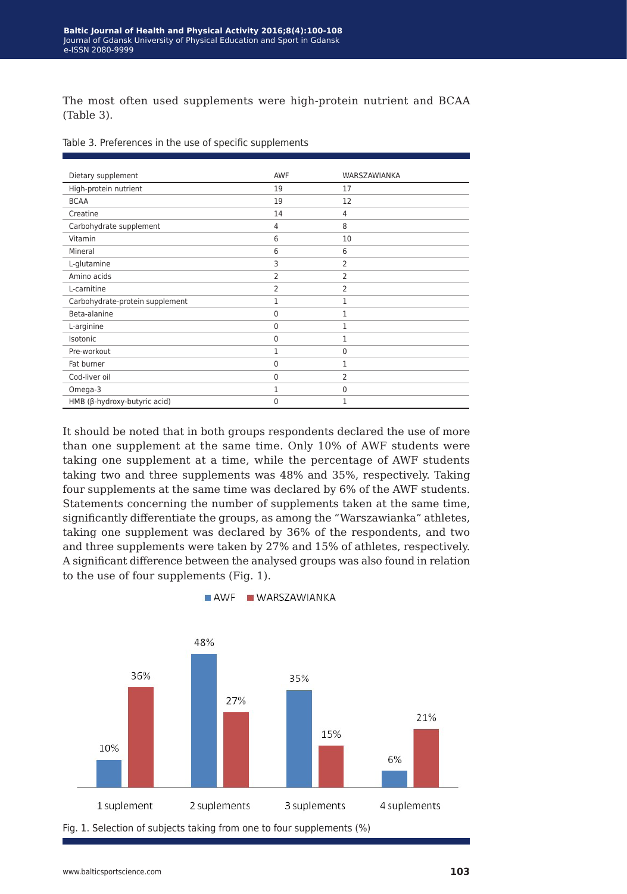The most often used supplements were high-protein nutrient and BCAA (Table 3).

|  |  |  |  |  | Table 3. Preferences in the use of specific supplements |
|--|--|--|--|--|---------------------------------------------------------|
|--|--|--|--|--|---------------------------------------------------------|

| Dietary supplement              | AWF | WARSZAWIANKA   |
|---------------------------------|-----|----------------|
| High-protein nutrient           | 19  | 17             |
| <b>BCAA</b>                     | 19  | 12             |
| Creatine                        | 14  | 4              |
| Carbohydrate supplement         | 4   | 8              |
| Vitamin                         | 6   | 10             |
| Mineral                         | 6   | 6              |
| L-glutamine                     | 3   | 2              |
| Amino acids                     | 2   | 2              |
| L-carnitine                     | 2   | 2              |
| Carbohydrate-protein supplement | 1   | $\mathbf{1}$   |
| Beta-alanine                    | 0   | $\mathbf{1}$   |
| L-arginine                      | 0   | 1              |
| Isotonic                        | 0   | 1              |
| Pre-workout                     | 1   | 0              |
| Fat burner                      | 0   | 1              |
| Cod-liver oil                   | 0   | $\overline{2}$ |
| Omega-3                         | 1   | 0              |
| HMB (β-hydroxy-butyric acid)    | 0   | 1              |

It should be noted that in both groups respondents declared the use of more than one supplement at the same time. Only 10% of AWF students were taking one supplement at a time, while the percentage of AWF students taking two and three supplements was 48% and 35%, respectively. Taking four supplements at the same time was declared by 6% of the AWF students. Statements concerning the number of supplements taken at the same time, significantly differentiate the groups, as among the "Warszawianka" athletes, taking one supplement was declared by 36% of the respondents, and two and three supplements were taken by 27% and 15% of athletes, respectively. A significant difference between the analysed groups was also found in relation to the use of four supplements (Fig. 1).



AWF WARSZAWIANKA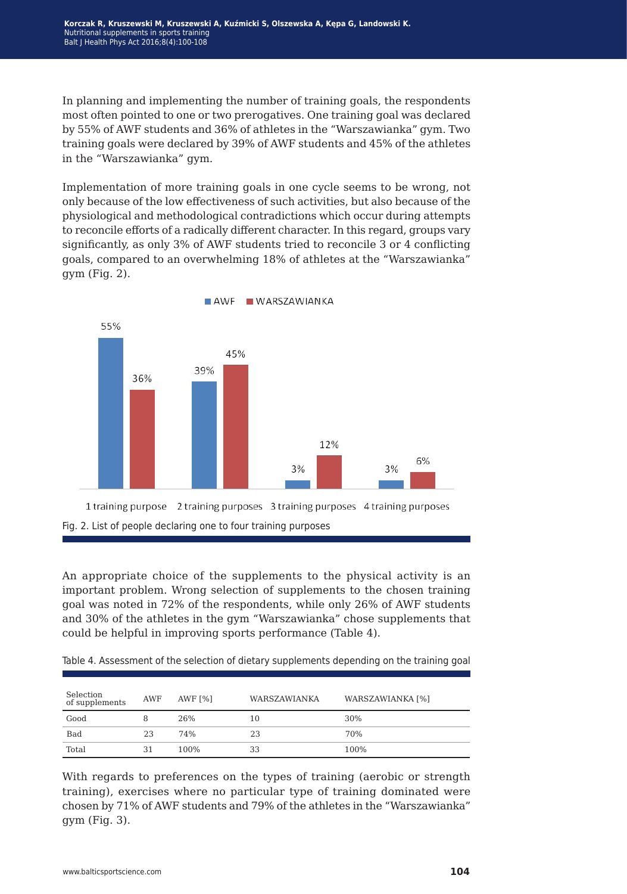In planning and implementing the number of training goals, the respondents most often pointed to one or two prerogatives. One training goal was declared by 55% of AWF students and 36% of athletes in the "Warszawianka" gym. Two training goals were declared by 39% of AWF students and 45% of the athletes in the "Warszawianka" gym.

Implementation of more training goals in one cycle seems to be wrong, not only because of the low effectiveness of such activities, but also because of the physiological and methodological contradictions which occur during attempts to reconcile efforts of a radically different character. In this regard, groups vary significantly, as only 3% of AWF students tried to reconcile 3 or 4 conflicting goals, compared to an overwhelming 18% of athletes at the "Warszawianka" gym (Fig. 2).



An appropriate choice of the supplements to the physical activity is an important problem. Wrong selection of supplements to the chosen training goal was noted in 72% of the respondents, while only 26% of AWF students and 30% of the athletes in the gym "Warszawianka" chose supplements that could be helpful in improving sports performance (Table 4).

Table 4. Assessment of the selection of dietary supplements depending on the training goal

| Selection<br>of supplements | <b>AWF</b> | AWF $[%]$ | WARSZAWIANKA | <b>WARSZAWIANKA [%]</b> |
|-----------------------------|------------|-----------|--------------|-------------------------|
| Good                        |            | 26%       | 10           | 30%                     |
| <b>Bad</b>                  | 23         | 74%       | 23           | 70%                     |
| Total                       | 31         | 100%      | 33           | 100%                    |

With regards to preferences on the types of training (aerobic or strength training), exercises where no particular type of training dominated were chosen by 71% of AWF students and 79% of the athletes in the "Warszawianka" gym (Fig. 3).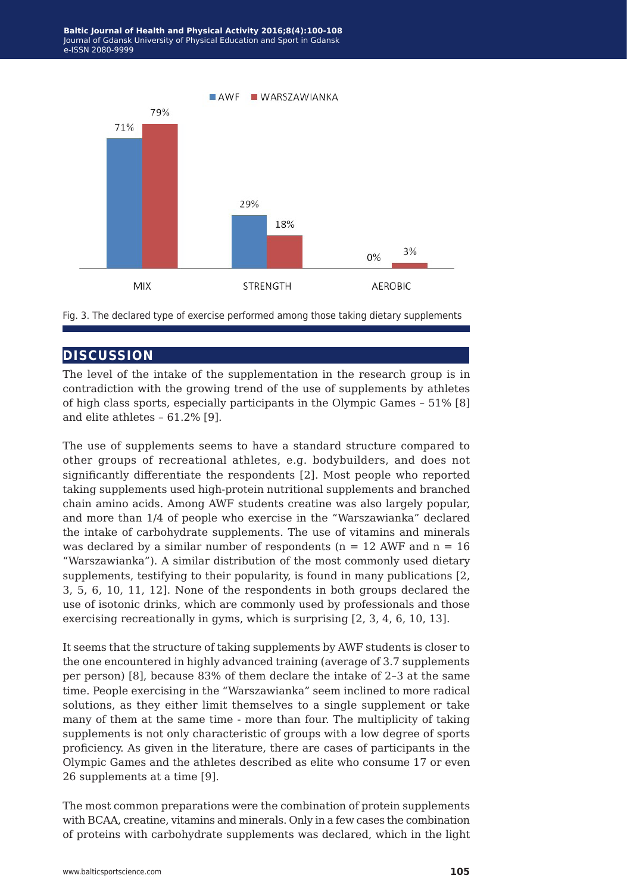

Fig. 3. The declared type of exercise performed among those taking dietary supplements

# **discussion**

The level of the intake of the supplementation in the research group is in contradiction with the growing trend of the use of supplements by athletes of high class sports, especially participants in the Olympic Games – 51% [8] and elite athletes – 61.2% [9].

The use of supplements seems to have a standard structure compared to other groups of recreational athletes, e.g. bodybuilders, and does not significantly differentiate the respondents [2]. Most people who reported taking supplements used high-protein nutritional supplements and branched chain amino acids. Among AWF students creatine was also largely popular, and more than 1/4 of people who exercise in the "Warszawianka" declared the intake of carbohydrate supplements. The use of vitamins and minerals was declared by a similar number of respondents ( $n = 12$  AWF and  $n = 16$ ) "Warszawianka"). A similar distribution of the most commonly used dietary supplements, testifying to their popularity, is found in many publications [2, 3, 5, 6, 10, 11, 12]. None of the respondents in both groups declared the use of isotonic drinks, which are commonly used by professionals and those exercising recreationally in gyms, which is surprising [2, 3, 4, 6, 10, 13].

It seems that the structure of taking supplements by AWF students is closer to the one encountered in highly advanced training (average of 3.7 supplements per person) [8], because 83% of them declare the intake of 2–3 at the same time. People exercising in the "Warszawianka" seem inclined to more radical solutions, as they either limit themselves to a single supplement or take many of them at the same time - more than four. The multiplicity of taking supplements is not only characteristic of groups with a low degree of sports proficiency. As given in the literature, there are cases of participants in the Olympic Games and the athletes described as elite who consume 17 or even 26 supplements at a time [9].

The most common preparations were the combination of protein supplements with BCAA, creatine, vitamins and minerals. Only in a few cases the combination of proteins with carbohydrate supplements was declared, which in the light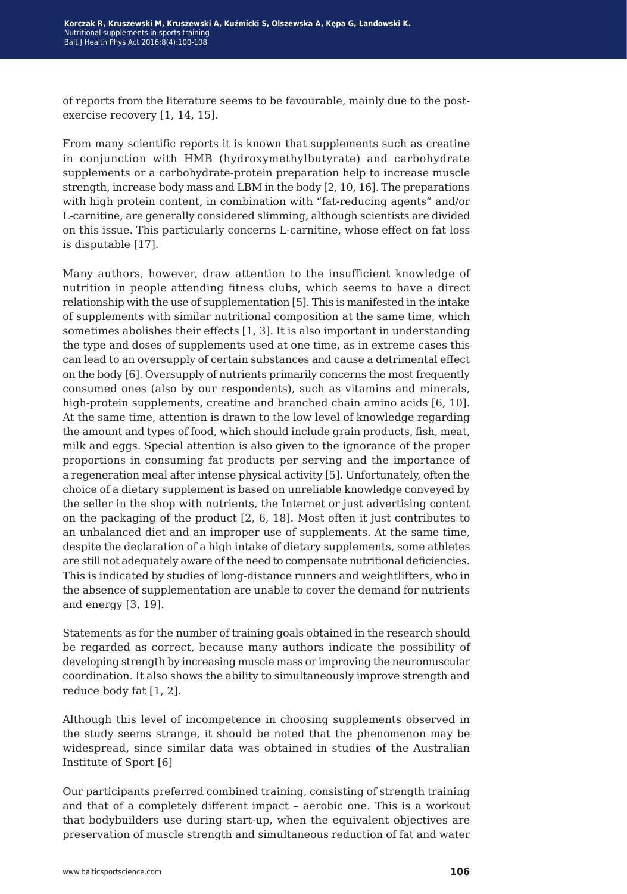of reports from the literature seems to be favourable, mainly due to the postexercise recovery [1, 14, 15].

From many scientific reports it is known that supplements such as creatine in conjunction with HMB (hydroxymethylbutyrate) and carbohydrate supplements or a carbohydrate-protein preparation help to increase muscle strength, increase body mass and LBM in the body [2, 10, 16]. The preparations with high protein content, in combination with "fat-reducing agents" and/or L-carnitine, are generally considered slimming, although scientists are divided on this issue. This particularly concerns L-carnitine, whose effect on fat loss is disputable [17].

Many authors, however, draw attention to the insufficient knowledge of nutrition in people attending fitness clubs, which seems to have a direct relationship with the use of supplementation [5]. This is manifested in the intake of supplements with similar nutritional composition at the same time, which sometimes abolishes their effects [1, 3]. It is also important in understanding the type and doses of supplements used at one time, as in extreme cases this can lead to an oversupply of certain substances and cause a detrimental effect on the body [6]. Oversupply of nutrients primarily concerns the most frequently consumed ones (also by our respondents), such as vitamins and minerals, high-protein supplements, creatine and branched chain amino acids [6, 10]. At the same time, attention is drawn to the low level of knowledge regarding the amount and types of food, which should include grain products, fish, meat, milk and eggs. Special attention is also given to the ignorance of the proper proportions in consuming fat products per serving and the importance of a regeneration meal after intense physical activity [5]. Unfortunately, often the choice of a dietary supplement is based on unreliable knowledge conveyed by the seller in the shop with nutrients, the Internet or just advertising content on the packaging of the product [2, 6, 18]. Most often it just contributes to an unbalanced diet and an improper use of supplements. At the same time, despite the declaration of a high intake of dietary supplements, some athletes are still not adequately aware of the need to compensate nutritional deficiencies. This is indicated by studies of long-distance runners and weightlifters, who in the absence of supplementation are unable to cover the demand for nutrients and energy [3, 19].

Statements as for the number of training goals obtained in the research should be regarded as correct, because many authors indicate the possibility of developing strength by increasing muscle mass or improving the neuromuscular coordination. It also shows the ability to simultaneously improve strength and reduce body fat [1, 2].

Although this level of incompetence in choosing supplements observed in the study seems strange, it should be noted that the phenomenon may be widespread, since similar data was obtained in studies of the Australian Institute of Sport [6]

Our participants preferred combined training, consisting of strength training and that of a completely different impact – aerobic one. This is a workout that bodybuilders use during start-up, when the equivalent objectives are preservation of muscle strength and simultaneous reduction of fat and water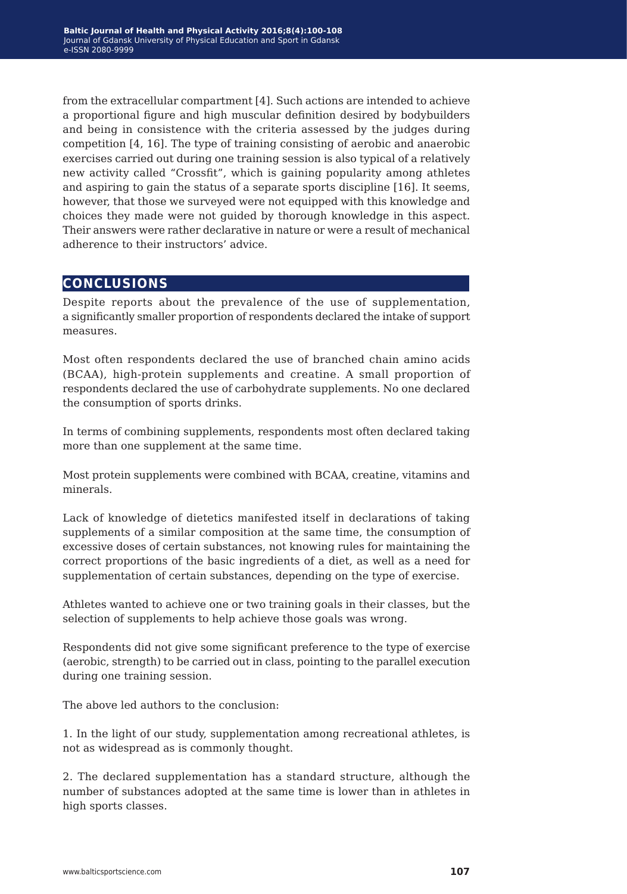from the extracellular compartment [4]. Such actions are intended to achieve a proportional figure and high muscular definition desired by bodybuilders and being in consistence with the criteria assessed by the judges during competition [4, 16]. The type of training consisting of aerobic and anaerobic exercises carried out during one training session is also typical of a relatively new activity called "Crossfit", which is gaining popularity among athletes and aspiring to gain the status of a separate sports discipline [16]. It seems, however, that those we surveyed were not equipped with this knowledge and choices they made were not guided by thorough knowledge in this aspect. Their answers were rather declarative in nature or were a result of mechanical adherence to their instructors' advice.

# **conclusions**

Despite reports about the prevalence of the use of supplementation, a significantly smaller proportion of respondents declared the intake of support measures.

Most often respondents declared the use of branched chain amino acids (BCAA), high-protein supplements and creatine. A small proportion of respondents declared the use of carbohydrate supplements. No one declared the consumption of sports drinks.

In terms of combining supplements, respondents most often declared taking more than one supplement at the same time.

Most protein supplements were combined with BCAA, creatine, vitamins and minerals.

Lack of knowledge of dietetics manifested itself in declarations of taking supplements of a similar composition at the same time, the consumption of excessive doses of certain substances, not knowing rules for maintaining the correct proportions of the basic ingredients of a diet, as well as a need for supplementation of certain substances, depending on the type of exercise.

Athletes wanted to achieve one or two training goals in their classes, but the selection of supplements to help achieve those goals was wrong.

Respondents did not give some significant preference to the type of exercise (aerobic, strength) to be carried out in class, pointing to the parallel execution during one training session.

The above led authors to the conclusion:

1. In the light of our study, supplementation among recreational athletes, is not as widespread as is commonly thought.

2. The declared supplementation has a standard structure, although the number of substances adopted at the same time is lower than in athletes in high sports classes.